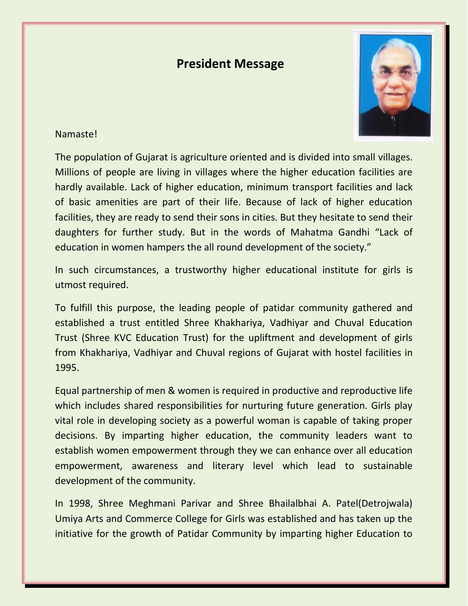## **President Message**



## Namaste!

The population of Gujarat is agriculture oriented and is divided into small villages. Millions of people are living in villages where the higher education facilities are hardly available. Lack of higher education, minimum transport facilities and lack of basic amenities are part of their life. Because of lack of higher education facilities, they are ready to send their sons in cities. But they hesitate to send their daughters for further study. But in the words of Mahatma Gandhi "Lack of education in women hampers the all round development of the society."

In such circumstances, a trustworthy higher educational institute for girls is utmost required.

To fulfill this purpose, the leading people of patidar community gathered and established a trust entitled Shree Khakhariya, Vadhiyar and Chuval Education Trust (Shree KVC Education Trust) for the upliftment and development of girls from Khakhariya, Vadhiyar and Chuval regions of Gujarat with hostel facilities in 1995.

Equal partnership of men & women is required in productive and reproductive life which includes shared responsibilities for nurturing future generation. Girls play vital role in developing society as a powerful woman is capable of taking proper decisions. By imparting higher education, the community leaders want to establish women empowerment through they we can enhance over all education empowerment, awareness and literary level which lead to sustainable development of the community.

In 1998, Shree Meghmani Parivar and Shree Bhailalbhai A. Patel(Detrojwala) Umiya Arts and Commerce College for Girls was established and has taken up the initiative for the growth of Patidar Community by imparting higher Education to